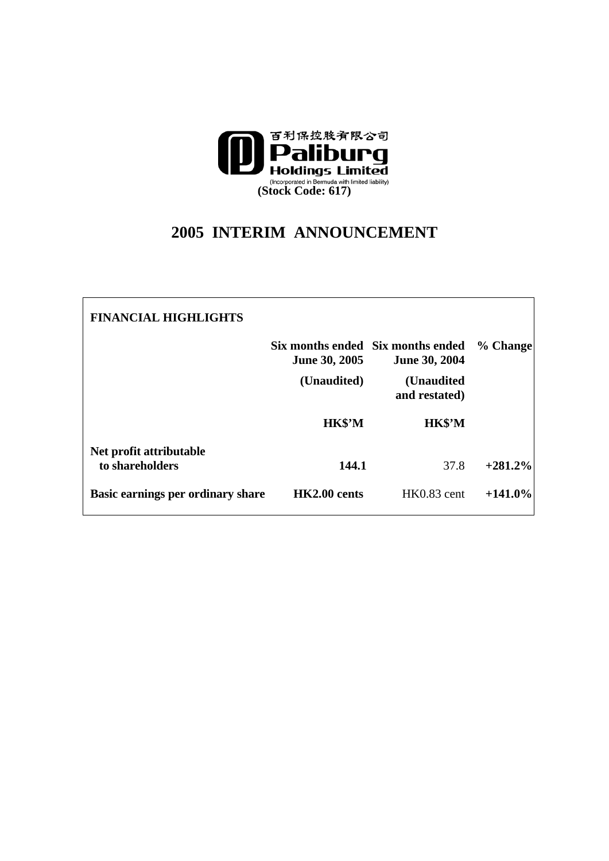

## **2005 INTERIM ANNOUNCEMENT**

| <b>FINANCIAL HIGHLIGHTS</b>                |               |                                                           |            |
|--------------------------------------------|---------------|-----------------------------------------------------------|------------|
|                                            | June 30, 2005 | Six months ended Six months ended<br><b>June 30, 2004</b> | % Change   |
|                                            | (Unaudited)   | (Unaudited<br>and restated)                               |            |
|                                            | HK\$'M        | HK\$'M                                                    |            |
| Net profit attributable<br>to shareholders | 144.1         | 37.8                                                      | $+281.2%$  |
| Basic earnings per ordinary share          | HK2.00 cents  | HK0.83 cent                                               | $+141.0\%$ |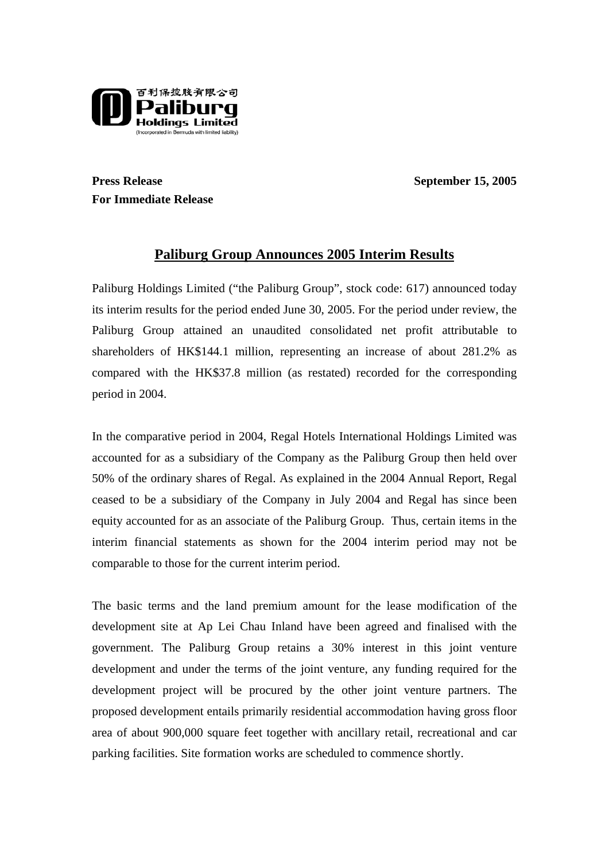

**Press Release** September 15, 2005 **For Immediate Release** 

## **Paliburg Group Announces 2005 Interim Results**

Paliburg Holdings Limited ("the Paliburg Group", stock code: 617) announced today its interim results for the period ended June 30, 2005. For the period under review, the Paliburg Group attained an unaudited consolidated net profit attributable to shareholders of HK\$144.1 million, representing an increase of about 281.2% as compared with the HK\$37.8 million (as restated) recorded for the corresponding period in 2004.

In the comparative period in 2004, Regal Hotels International Holdings Limited was accounted for as a subsidiary of the Company as the Paliburg Group then held over 50% of the ordinary shares of Regal. As explained in the 2004 Annual Report, Regal ceased to be a subsidiary of the Company in July 2004 and Regal has since been equity accounted for as an associate of the Paliburg Group. Thus, certain items in the interim financial statements as shown for the 2004 interim period may not be comparable to those for the current interim period.

The basic terms and the land premium amount for the lease modification of the development site at Ap Lei Chau Inland have been agreed and finalised with the government. The Paliburg Group retains a 30% interest in this joint venture development and under the terms of the joint venture, any funding required for the development project will be procured by the other joint venture partners. The proposed development entails primarily residential accommodation having gross floor area of about 900,000 square feet together with ancillary retail, recreational and car parking facilities. Site formation works are scheduled to commence shortly.